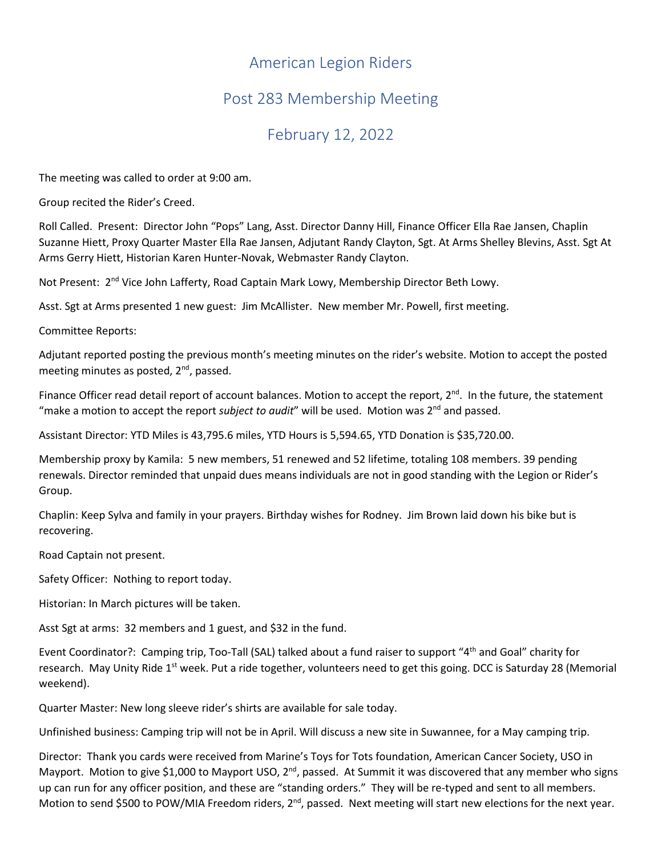## American Legion Riders

## Post 283 Membership Meeting

## February 12, 2022

The meeting was called to order at 9:00 am.

Group recited the Rider's Creed.

Roll Called. Present: Director John "Pops" Lang, Asst. Director Danny Hill, Finance Officer Ella Rae Jansen, Chaplin Suzanne Hiett, Proxy Quarter Master Ella Rae Jansen, Adjutant Randy Clayton, Sgt. At Arms Shelley Blevins, Asst. Sgt At Arms Gerry Hiett, Historian Karen Hunter-Novak, Webmaster Randy Clayton.

Not Present: 2<sup>nd</sup> Vice John Lafferty, Road Captain Mark Lowy, Membership Director Beth Lowy.

Asst. Sgt at Arms presented 1 new guest: Jim McAllister. New member Mr. Powell, first meeting.

Committee Reports:

Adjutant reported posting the previous month's meeting minutes on the rider's website. Motion to accept the posted meeting minutes as posted, 2<sup>nd</sup>, passed.

Finance Officer read detail report of account balances. Motion to accept the report,  $2^{nd}$ . In the future, the statement "make a motion to accept the report *subject to audit"* will be used. Motion was 2<sup>nd</sup> and passed.

Assistant Director: YTD Miles is 43,795.6 miles, YTD Hours is 5,594.65, YTD Donation is \$35,720.00.

Membership proxy by Kamila: 5 new members, 51 renewed and 52 lifetime, totaling 108 members. 39 pending renewals. Director reminded that unpaid dues means individuals are not in good standing with the Legion or Rider's Group.

Chaplin: Keep Sylva and family in your prayers. Birthday wishes for Rodney. Jim Brown laid down his bike but is recovering.

Road Captain not present.

Safety Officer: Nothing to report today.

Historian: In March pictures will be taken.

Asst Sgt at arms: 32 members and 1 guest, and \$32 in the fund.

Event Coordinator?: Camping trip, Too-Tall (SAL) talked about a fund raiser to support "4th and Goal" charity for research. May Unity Ride 1<sup>st</sup> week. Put a ride together, volunteers need to get this going. DCC is Saturday 28 (Memorial weekend).

Quarter Master: New long sleeve rider's shirts are available for sale today.

Unfinished business: Camping trip will not be in April. Will discuss a new site in Suwannee, for a May camping trip.

Director: Thank you cards were received from Marine's Toys for Tots foundation, American Cancer Society, USO in Mayport. Motion to give \$1,000 to Mayport USO,  $2^{nd}$ , passed. At Summit it was discovered that any member who signs up can run for any officer position, and these are "standing orders." They will be re-typed and sent to all members. Motion to send \$500 to POW/MIA Freedom riders,  $2^{nd}$ , passed. Next meeting will start new elections for the next year.